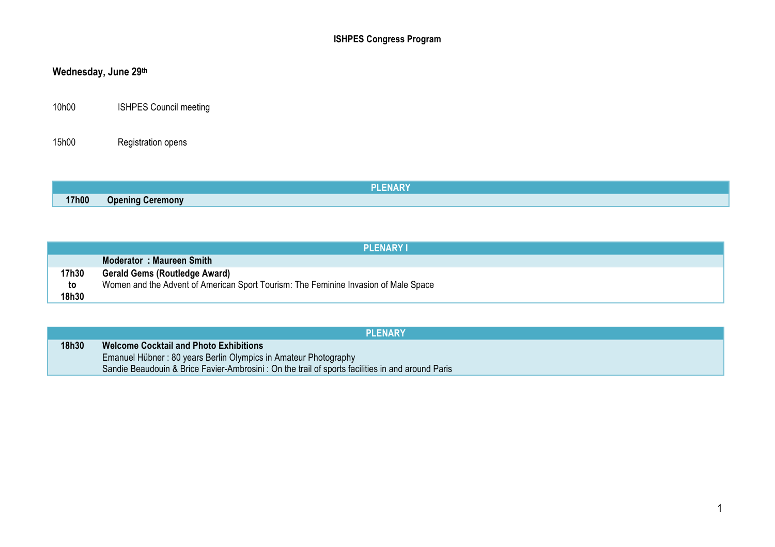# **Wednesday, June 29th**

10h00 ISHPES Council meeting

15h00 Registration opens

|       |                         | ENAN I |  |
|-------|-------------------------|--------|--|
| 17h00 | <b>Opening Ceremony</b> |        |  |

|       | <b>PLENARY I</b>                                                                    |
|-------|-------------------------------------------------------------------------------------|
|       | Moderator: Maureen Smith                                                            |
| 17h30 | <b>Gerald Gems (Routledge Award)</b>                                                |
| to    | Women and the Advent of American Sport Tourism: The Feminine Invasion of Male Space |
| 18h30 |                                                                                     |

|       | <b>PLENARY</b>                                                                                                                                                      |
|-------|---------------------------------------------------------------------------------------------------------------------------------------------------------------------|
| 18h30 | <b>Welcome Cocktail and Photo Exhibitions</b>                                                                                                                       |
|       | Emanuel Hübner: 80 years Berlin Olympics in Amateur Photography<br>Sandie Beaudouin & Brice Favier-Ambrosini: On the trail of sports facilities in and around Paris |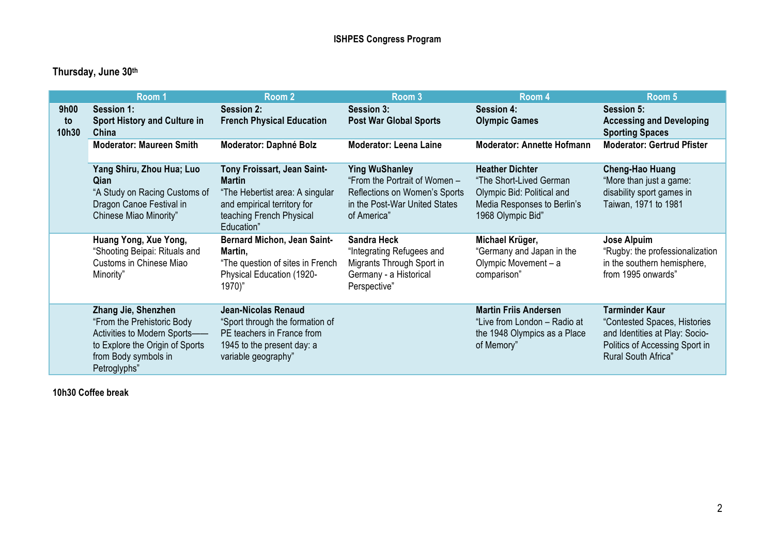|                     | Room 1                                                                                                                                                       | Room 2                                                                                                                                                   | Room 3                                                                                                                                  | Room 4                                                                                                                              | Room 5                                                                                                                                           |
|---------------------|--------------------------------------------------------------------------------------------------------------------------------------------------------------|----------------------------------------------------------------------------------------------------------------------------------------------------------|-----------------------------------------------------------------------------------------------------------------------------------------|-------------------------------------------------------------------------------------------------------------------------------------|--------------------------------------------------------------------------------------------------------------------------------------------------|
| 9h00<br>to<br>10h30 | Session 1:<br><b>Sport History and Culture in</b><br>China                                                                                                   | <b>Session 2:</b><br><b>French Physical Education</b>                                                                                                    | <b>Session 3:</b><br><b>Post War Global Sports</b>                                                                                      | <b>Session 4:</b><br><b>Olympic Games</b>                                                                                           | <b>Session 5:</b><br><b>Accessing and Developing</b><br><b>Sporting Spaces</b>                                                                   |
|                     | <b>Moderator: Maureen Smith</b>                                                                                                                              | Moderator: Daphné Bolz                                                                                                                                   | <b>Moderator: Leena Laine</b>                                                                                                           | <b>Moderator: Annette Hofmann</b>                                                                                                   | <b>Moderator: Gertrud Pfister</b>                                                                                                                |
|                     | Yang Shiru, Zhou Hua; Luo<br>Qian<br>"A Study on Racing Customs of<br>Dragon Canoe Festival in<br>Chinese Miao Minority"                                     | Tony Froissart, Jean Saint-<br><b>Martin</b><br>"The Hebertist area: A singular<br>and empirical territory for<br>teaching French Physical<br>Education" | <b>Ying WuShanley</b><br>"From the Portrait of Women -<br>Reflections on Women's Sports<br>in the Post-War United States<br>of America" | <b>Heather Dichter</b><br>"The Short-Lived German<br>Olympic Bid: Political and<br>Media Responses to Berlin's<br>1968 Olympic Bid" | <b>Cheng-Hao Huang</b><br>"More than just a game:<br>disability sport games in<br>Taiwan, 1971 to 1981                                           |
|                     | Huang Yong, Xue Yong,<br>"Shooting Beipai: Rituals and<br>Customs in Chinese Miao<br>Minority"                                                               | <b>Bernard Michon, Jean Saint-</b><br>Martin,<br>"The question of sites in French<br>Physical Education (1920-<br>1970)"                                 | <b>Sandra Heck</b><br>"Integrating Refugees and<br>Migrants Through Sport in<br>Germany - a Historical<br>Perspective"                  | Michael Krüger,<br>"Germany and Japan in the<br>Olympic Movement - a<br>comparison"                                                 | <b>Jose Alpuim</b><br>"Rugby: the professionalization<br>in the southern hemisphere,<br>from 1995 onwards"                                       |
|                     | Zhang Jie, Shenzhen<br>"From the Prehistoric Body<br>Activities to Modern Sports-<br>to Explore the Origin of Sports<br>from Body symbols in<br>Petroglyphs" | Jean-Nicolas Renaud<br>"Sport through the formation of<br>PE teachers in France from<br>1945 to the present day: a<br>variable geography"                |                                                                                                                                         | <b>Martin Friis Andersen</b><br>"Live from London - Radio at<br>the 1948 Olympics as a Place<br>of Memory"                          | <b>Tarminder Kaur</b><br>"Contested Spaces, Histories<br>and Identities at Play: Socio-<br>Politics of Accessing Sport in<br>Rural South Africa" |

**10h30 Coffee break**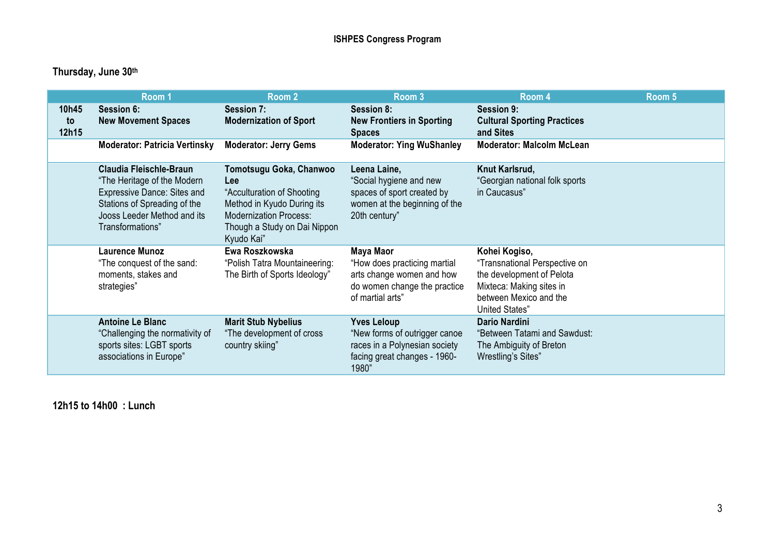|                      | Room 1                                                                                                                                                                          | Room 2                                                                                                                                                                            | Room <sub>3</sub>                                                                                                             | Room 4                                                                                                                                              | Room 5 |
|----------------------|---------------------------------------------------------------------------------------------------------------------------------------------------------------------------------|-----------------------------------------------------------------------------------------------------------------------------------------------------------------------------------|-------------------------------------------------------------------------------------------------------------------------------|-----------------------------------------------------------------------------------------------------------------------------------------------------|--------|
| 10h45<br>to<br>12h15 | <b>Session 6:</b><br><b>New Movement Spaces</b>                                                                                                                                 | Session 7:<br><b>Modernization of Sport</b>                                                                                                                                       | <b>Session 8:</b><br><b>New Frontiers in Sporting</b><br><b>Spaces</b>                                                        | <b>Session 9:</b><br><b>Cultural Sporting Practices</b><br>and Sites                                                                                |        |
|                      | <b>Moderator: Patricia Vertinsky</b>                                                                                                                                            | <b>Moderator: Jerry Gems</b>                                                                                                                                                      | <b>Moderator: Ying WuShanley</b>                                                                                              | <b>Moderator: Malcolm McLean</b>                                                                                                                    |        |
|                      | Claudia Fleischle-Braun<br>"The Heritage of the Modern<br><b>Expressive Dance: Sites and</b><br>Stations of Spreading of the<br>Jooss Leeder Method and its<br>Transformations" | Tomotsugu Goka, Chanwoo<br><b>Lee</b><br>"Acculturation of Shooting"<br>Method in Kyudo During its<br><b>Modernization Process:</b><br>Though a Study on Dai Nippon<br>Kyudo Kai" | Leena Laine,<br>"Social hygiene and new<br>spaces of sport created by<br>women at the beginning of the<br>20th century"       | Knut Karlsrud,<br>"Georgian national folk sports<br>in Caucasus"                                                                                    |        |
|                      | <b>Laurence Munoz</b><br>"The conquest of the sand:<br>moments, stakes and<br>strategies"                                                                                       | Ewa Roszkowska<br>"Polish Tatra Mountaineering:<br>The Birth of Sports Ideology"                                                                                                  | Maya Maor<br>"How does practicing martial<br>arts change women and how<br>do women change the practice<br>of martial arts"    | Kohei Kogiso,<br>"Transnational Perspective on<br>the development of Pelota<br>Mixteca: Making sites in<br>between Mexico and the<br>United States" |        |
|                      | <b>Antoine Le Blanc</b><br>"Challenging the normativity of<br>sports sites: LGBT sports<br>associations in Europe"                                                              | <b>Marit Stub Nybelius</b><br>"The development of cross<br>country skiing"                                                                                                        | <b>Yves Leloup</b><br>"New forms of outrigger canoe<br>races in a Polynesian society<br>facing great changes - 1960-<br>1980" | <b>Dario Nardini</b><br>"Between Tatami and Sawdust:<br>The Ambiguity of Breton<br>Wrestling's Sites"                                               |        |

**12h15 to 14h00 : Lunch**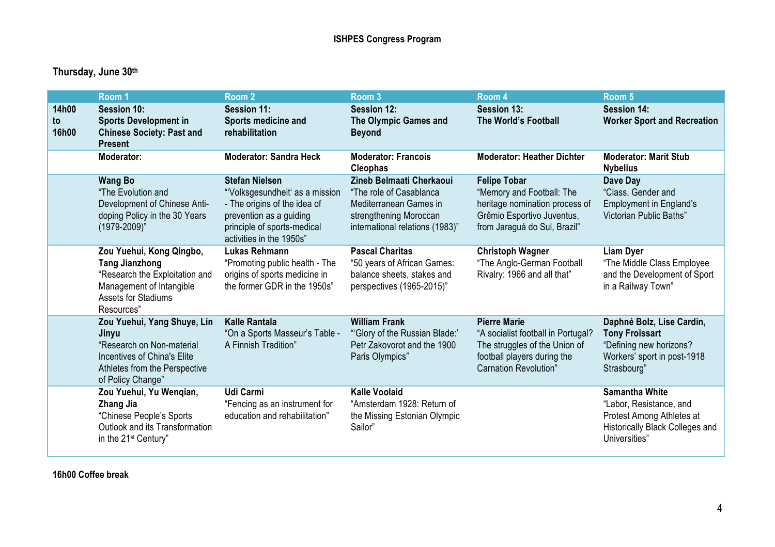|                      | Room 1                                                                                                                                                      | Room <sub>2</sub>                                                                                                                                                             | Room <sub>3</sub>                                                                                                                          | Room 4                                                                                                                                             | Room 5                                                                                                                            |
|----------------------|-------------------------------------------------------------------------------------------------------------------------------------------------------------|-------------------------------------------------------------------------------------------------------------------------------------------------------------------------------|--------------------------------------------------------------------------------------------------------------------------------------------|----------------------------------------------------------------------------------------------------------------------------------------------------|-----------------------------------------------------------------------------------------------------------------------------------|
| 14h00<br>to<br>16h00 | <b>Session 10:</b><br><b>Sports Development in</b><br><b>Chinese Society: Past and</b><br><b>Present</b>                                                    | <b>Session 11:</b><br>Sports medicine and<br>rehabilitation                                                                                                                   | <b>Session 12:</b><br>The Olympic Games and<br><b>Beyond</b>                                                                               | Session 13:<br>The World's Football                                                                                                                | <b>Session 14:</b><br><b>Worker Sport and Recreation</b>                                                                          |
|                      | Moderator:                                                                                                                                                  | <b>Moderator: Sandra Heck</b>                                                                                                                                                 | <b>Moderator: Francois</b><br><b>Cleophas</b>                                                                                              | <b>Moderator: Heather Dichter</b>                                                                                                                  | <b>Moderator: Marit Stub</b><br><b>Nybelius</b>                                                                                   |
|                      | <b>Wang Bo</b><br>"The Evolution and<br>Development of Chinese Anti-<br>doping Policy in the 30 Years<br>$(1979 - 2009)^n$                                  | <b>Stefan Nielsen</b><br>"Volksgesundheit' as a mission<br>- The origins of the idea of<br>prevention as a guiding<br>principle of sports-medical<br>activities in the 1950s" | Zineb Belmaati Cherkaoui<br>"The role of Casablanca<br>Mediterranean Games in<br>strengthening Moroccan<br>international relations (1983)" | <b>Felipe Tobar</b><br>"Memory and Football: The<br>heritage nomination process of<br>Grêmio Esportivo Juventus,<br>from Jaraguá do Sul, Brazil"   | Dave Day<br>"Class, Gender and<br><b>Employment in England's</b><br>Victorian Public Baths"                                       |
|                      | Zou Yuehui, Kong Qingbo,<br><b>Tang Jianzhong</b><br>"Research the Exploitation and<br>Management of Intangible<br><b>Assets for Stadiums</b><br>Resources" | <b>Lukas Rehmann</b><br>"Promoting public health - The<br>origins of sports medicine in<br>the former GDR in the 1950s"                                                       | <b>Pascal Charitas</b><br>"50 years of African Games:<br>balance sheets, stakes and<br>perspectives (1965-2015)"                           | <b>Christoph Wagner</b><br>"The Anglo-German Football<br>Rivalry: 1966 and all that"                                                               | <b>Liam Dyer</b><br>"The Middle Class Employee<br>and the Development of Sport<br>in a Railway Town"                              |
|                      | Zou Yuehui, Yang Shuye, Lin<br>Jinyu<br>"Research on Non-material<br>Incentives of China's Elite<br>Athletes from the Perspective<br>of Policy Change"      | <b>Kalle Rantala</b><br>"On a Sports Masseur's Table -<br>A Finnish Tradition"                                                                                                | <b>William Frank</b><br>"Glory of the Russian Blade:"<br>Petr Zakovorot and the 1900<br>Paris Olympics"                                    | <b>Pierre Marie</b><br>"A socialist football in Portugal?<br>The struggles of the Union of<br>football players during the<br>Carnation Revolution" | Daphné Bolz, Lise Cardin,<br><b>Tony Froissart</b><br>"Defining new horizons?<br>Workers' sport in post-1918<br>Strasbourg"       |
|                      | Zou Yuehui, Yu Wengian,<br>Zhang Jia<br>"Chinese People's Sports<br>Outlook and its Transformation<br>in the 21 <sup>st</sup> Century"                      | <b>Udi Carmi</b><br>"Fencing as an instrument for<br>education and rehabilitation"                                                                                            | <b>Kalle Voolaid</b><br>"Amsterdam 1928: Return of<br>the Missing Estonian Olympic<br>Sailor"                                              |                                                                                                                                                    | <b>Samantha White</b><br>"Labor, Resistance, and<br>Protest Among Athletes at<br>Historically Black Colleges and<br>Universities' |

**16h00 Coffee break**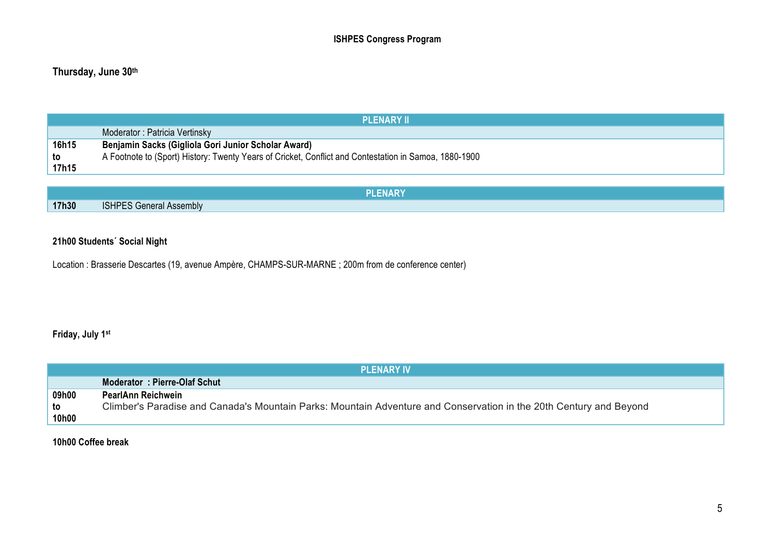| <b>PLENARY II</b> |                                                                                                       |  |  |  |
|-------------------|-------------------------------------------------------------------------------------------------------|--|--|--|
|                   | Moderator: Patricia Vertinsky                                                                         |  |  |  |
| 16h15             | Benjamin Sacks (Gigliola Gori Junior Scholar Award)                                                   |  |  |  |
| to                | A Footnote to (Sport) History: Twenty Years of Cricket, Conflict and Contestation in Samoa, 1880-1900 |  |  |  |
| 17h15             |                                                                                                       |  |  |  |
|                   |                                                                                                       |  |  |  |

|       | PLENARY                        |
|-------|--------------------------------|
| 17h30 | <b>ISHPES General Assembly</b> |

#### **21h00 Students´ Social Night**

Location : Brasserie Descartes (19, avenue Ampère, CHAMPS-SUR-MARNE ; 200m from de conference center)

#### **Friday, July 1st**

|       | <b>PLENARY IV</b>                                                                                                  |
|-------|--------------------------------------------------------------------------------------------------------------------|
|       | Moderator: Pierre-Olaf Schut                                                                                       |
| 09h00 | PearlAnn Reichwein                                                                                                 |
| to    | Climber's Paradise and Canada's Mountain Parks: Mountain Adventure and Conservation in the 20th Century and Beyond |
| 10h00 |                                                                                                                    |

**10h00 Coffee break**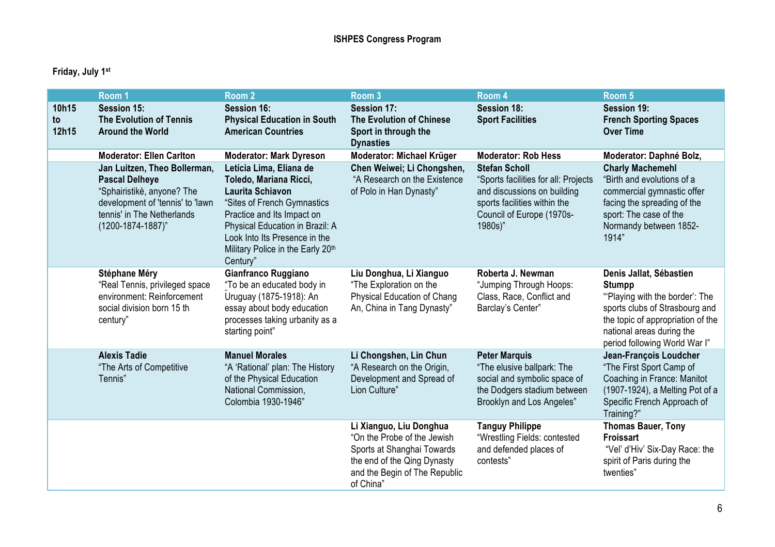### **Friday, July 1st**

|                      | Room <sub>1</sub>                                                                                                                                                          | Room <sub>2</sub>                                                                                                                                                                                                                                              | Room 3                                                                                                                                                            | Room 4                                                                                                                                                              | Room 5                                                                                                                                                                                                          |
|----------------------|----------------------------------------------------------------------------------------------------------------------------------------------------------------------------|----------------------------------------------------------------------------------------------------------------------------------------------------------------------------------------------------------------------------------------------------------------|-------------------------------------------------------------------------------------------------------------------------------------------------------------------|---------------------------------------------------------------------------------------------------------------------------------------------------------------------|-----------------------------------------------------------------------------------------------------------------------------------------------------------------------------------------------------------------|
| 10h15<br>to<br>12h15 | <b>Session 15:</b><br><b>The Evolution of Tennis</b><br><b>Around the World</b>                                                                                            | <b>Session 16:</b><br><b>Physical Education in South</b><br><b>American Countries</b>                                                                                                                                                                          | Session 17:<br><b>The Evolution of Chinese</b><br>Sport in through the<br><b>Dynasties</b>                                                                        | <b>Session 18:</b><br><b>Sport Facilities</b>                                                                                                                       | Session 19:<br><b>French Sporting Spaces</b><br><b>Over Time</b>                                                                                                                                                |
|                      | <b>Moderator: Ellen Carlton</b>                                                                                                                                            | <b>Moderator: Mark Dyreson</b>                                                                                                                                                                                                                                 | Moderator: Michael Krüger                                                                                                                                         | <b>Moderator: Rob Hess</b>                                                                                                                                          | Moderator: Daphné Bolz,                                                                                                                                                                                         |
|                      | Jan Luitzen, Theo Bollerman,<br><b>Pascal Delheye</b><br>"Sphairistikè, anyone? The<br>development of 'tennis' to 'lawn<br>tennis' in The Netherlands<br>(1200-1874-1887)" | Letícia Lima, Eliana de<br>Toledo, Mariana Ricci,<br><b>Laurita Schiavon</b><br>"Sites of French Gymnastics<br>Practice and Its Impact on<br>Physical Education in Brazil: A<br>Look Into Its Presence in the<br>Military Police in the Early 20th<br>Century" | Chen Weiwei; Li Chongshen,<br>"A Research on the Existence<br>of Polo in Han Dynasty"                                                                             | <b>Stefan Scholl</b><br>"Sports facilities for all: Projects<br>and discussions on building<br>sports facilities within the<br>Council of Europe (1970s-<br>1980s)" | <b>Charly Machemehl</b><br>"Birth and evolutions of a<br>commercial gymnastic offer<br>facing the spreading of the<br>sport: The case of the<br>Normandy between 1852-<br>1914"                                 |
|                      | Stéphane Méry<br>"Real Tennis, privileged space<br>environment: Reinforcement<br>social division born 15 th<br>century"                                                    | Gianfranco Ruggiano<br>"To be an educated body in<br>Uruguay (1875-1918): An<br>essay about body education<br>processes taking urbanity as a<br>starting point"                                                                                                | Liu Donghua, Li Xianguo<br>"The Exploration on the<br>Physical Education of Chang<br>An, China in Tang Dynasty"                                                   | Roberta J. Newman<br>"Jumping Through Hoops:<br>Class, Race, Conflict and<br>Barclay's Center"                                                                      | Denis Jallat, Sébastien<br><b>Stumpp</b><br>"Playing with the border': The<br>sports clubs of Strasbourg and<br>the topic of appropriation of the<br>national areas during the<br>period following World War I" |
|                      | <b>Alexis Tadie</b><br>"The Arts of Competitive<br>Tennis"                                                                                                                 | <b>Manuel Morales</b><br>"A 'Rational' plan: The History<br>of the Physical Education<br>National Commission,<br>Colombia 1930-1946"                                                                                                                           | Li Chongshen, Lin Chun<br>"A Research on the Origin,<br>Development and Spread of<br>Lion Culture"                                                                | <b>Peter Marquis</b><br>"The elusive ballpark: The<br>social and symbolic space of<br>the Dodgers stadium between<br>Brooklyn and Los Angeles"                      | Jean-François Loudcher<br>"The First Sport Camp of<br>Coaching in France: Manitot<br>(1907-1924), a Melting Pot of a<br>Specific French Approach of<br>Training?"                                               |
|                      |                                                                                                                                                                            |                                                                                                                                                                                                                                                                | Li Xianguo, Liu Donghua<br>"On the Probe of the Jewish<br>Sports at Shanghai Towards<br>the end of the Qing Dynasty<br>and the Begin of The Republic<br>of China" | <b>Tanguy Philippe</b><br>"Wrestling Fields: contested<br>and defended places of<br>contests"                                                                       | <b>Thomas Bauer, Tony</b><br><b>Froissart</b><br>"Vel' d'Hiv' Six-Day Race: the<br>spirit of Paris during the<br>twenties"                                                                                      |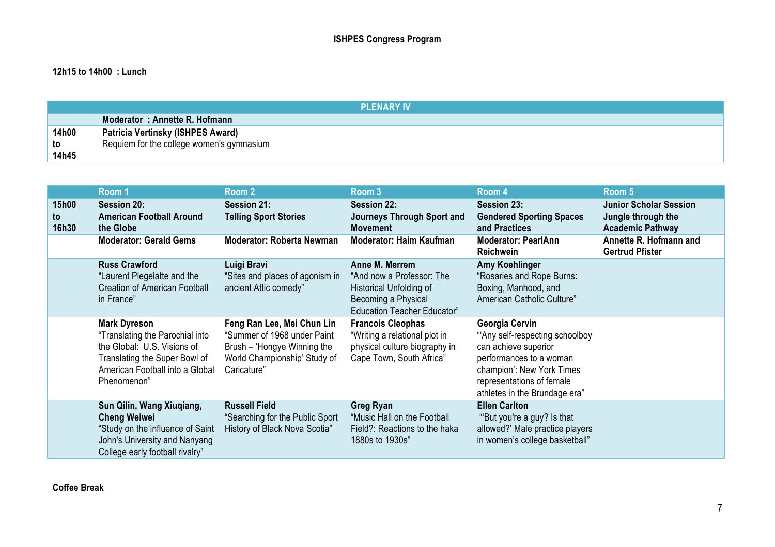#### **12h15 to 14h00 : Lunch**

|       | <b>PLENARY IV</b>                         |
|-------|-------------------------------------------|
|       | Moderator: Annette R. Hofmann             |
| 14h00 | Patricia Vertinsky (ISHPES Award)         |
| to    | Requiem for the college women's gymnasium |
| 14h45 |                                           |

|                      | Room 1                                                                                                                                                                   | Room 2                                                                                                                                  | Room 3                                                                                                                              | Room 4                                                                                                                                                                                         | Room 5                                                                         |
|----------------------|--------------------------------------------------------------------------------------------------------------------------------------------------------------------------|-----------------------------------------------------------------------------------------------------------------------------------------|-------------------------------------------------------------------------------------------------------------------------------------|------------------------------------------------------------------------------------------------------------------------------------------------------------------------------------------------|--------------------------------------------------------------------------------|
| 15h00<br>to<br>16h30 | <b>Session 20:</b><br><b>American Football Around</b><br>the Globe                                                                                                       | <b>Session 21:</b><br><b>Telling Sport Stories</b>                                                                                      | <b>Session 22:</b><br>Journeys Through Sport and<br><b>Movement</b>                                                                 | <b>Session 23:</b><br><b>Gendered Sporting Spaces</b><br>and Practices                                                                                                                         | <b>Junior Scholar Session</b><br>Jungle through the<br><b>Academic Pathway</b> |
|                      | <b>Moderator: Gerald Gems</b>                                                                                                                                            | <b>Moderator: Roberta Newman</b>                                                                                                        | <b>Moderator: Haim Kaufman</b>                                                                                                      | <b>Moderator: PearlAnn</b><br><b>Reichwein</b>                                                                                                                                                 | Annette R. Hofmann and<br><b>Gertrud Pfister</b>                               |
|                      | <b>Russ Crawford</b><br>"Laurent Plegelatte and the<br><b>Creation of American Football</b><br>in France"                                                                | Luigi Bravi<br>"Sites and places of agonism in<br>ancient Attic comedy"                                                                 | Anne M. Merrem<br>"And now a Professor: The<br>Historical Unfolding of<br>Becoming a Physical<br><b>Education Teacher Educator"</b> | <b>Amy Koehlinger</b><br>"Rosaries and Rope Burns:<br>Boxing, Manhood, and<br>American Catholic Culture"                                                                                       |                                                                                |
|                      | <b>Mark Dyreson</b><br>"Translating the Parochial into<br>the Global: U.S. Visions of<br>Translating the Super Bowl of<br>American Football into a Global<br>Phenomenon" | Feng Ran Lee, Mei Chun Lin<br>"Summer of 1968 under Paint<br>Brush – 'Hongye Winning the<br>World Championship' Study of<br>Caricature" | <b>Francois Cleophas</b><br>"Writing a relational plot in<br>physical culture biography in<br>Cape Town, South Africa"              | Georgia Cervin<br>"Any self-respecting schoolboy<br>can achieve superior<br>performances to a woman<br>champion': New York Times<br>representations of female<br>athletes in the Brundage era" |                                                                                |
|                      | Sun Qilin, Wang Xiuqiang,<br><b>Cheng Weiwei</b><br>"Study on the influence of Saint<br>John's University and Nanyang<br>College early football rivalry"                 | <b>Russell Field</b><br>"Searching for the Public Sport<br>History of Black Nova Scotia"                                                | <b>Greg Ryan</b><br>"Music Hall on the Football"<br>Field?: Reactions to the haka<br>1880s to 1930s"                                | <b>Ellen Carlton</b><br>"But you're a guy? Is that<br>allowed?' Male practice players<br>in women's college basketball"                                                                        |                                                                                |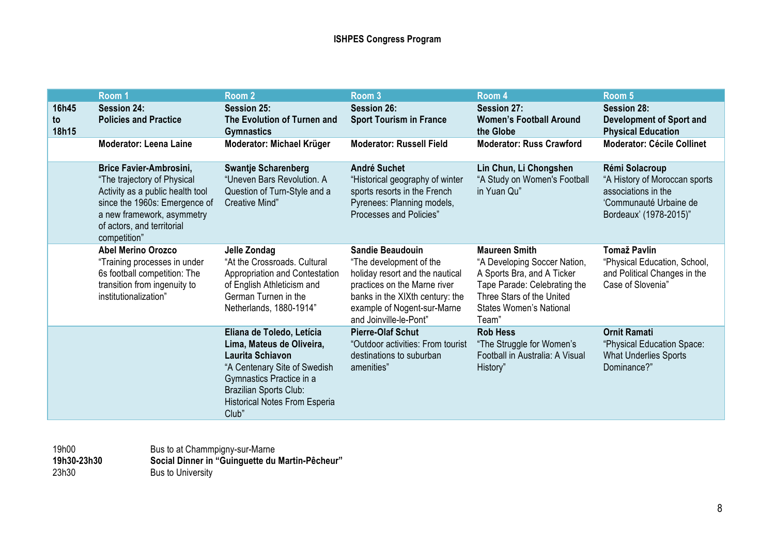|                      | Room 1                                                                                                                                                                                                         | Room 2                                                                                                                                                                                                                          | Room <sub>3</sub>                                                                                                                                                                                          | Room 4                                                                                                                                                                                     | Room 5                                                                                                                     |
|----------------------|----------------------------------------------------------------------------------------------------------------------------------------------------------------------------------------------------------------|---------------------------------------------------------------------------------------------------------------------------------------------------------------------------------------------------------------------------------|------------------------------------------------------------------------------------------------------------------------------------------------------------------------------------------------------------|--------------------------------------------------------------------------------------------------------------------------------------------------------------------------------------------|----------------------------------------------------------------------------------------------------------------------------|
| 16h45<br>to<br>18h15 | <b>Session 24:</b><br><b>Policies and Practice</b>                                                                                                                                                             | <b>Session 25:</b><br>The Evolution of Turnen and<br><b>Gymnastics</b>                                                                                                                                                          | <b>Session 26:</b><br><b>Sport Tourism in France</b>                                                                                                                                                       | <b>Session 27:</b><br><b>Women's Football Around</b><br>the Globe                                                                                                                          | <b>Session 28:</b><br><b>Development of Sport and</b><br><b>Physical Education</b>                                         |
|                      | <b>Moderator: Leena Laine</b>                                                                                                                                                                                  | <b>Moderator: Michael Krüger</b>                                                                                                                                                                                                | <b>Moderator: Russell Field</b>                                                                                                                                                                            | <b>Moderator: Russ Crawford</b>                                                                                                                                                            | <b>Moderator: Cécile Collinet</b>                                                                                          |
|                      | <b>Brice Favier-Ambrosini,</b><br>"The trajectory of Physical<br>Activity as a public health tool<br>since the 1960s: Emergence of<br>a new framework, asymmetry<br>of actors, and territorial<br>competition" | <b>Swantje Scharenberg</b><br>"Uneven Bars Revolution. A<br>Question of Turn-Style and a<br>Creative Mind"                                                                                                                      | <b>André Suchet</b><br>"Historical geography of winter<br>sports resorts in the French<br>Pyrenees: Planning models,<br>Processes and Policies"                                                            | Lin Chun, Li Chongshen<br>"A Study on Women's Football<br>in Yuan Qu"                                                                                                                      | Rémi Solacroup<br>"A History of Moroccan sports<br>associations in the<br>'Communauté Urbaine de<br>Bordeaux' (1978-2015)" |
|                      | <b>Abel Merino Orozco</b><br>"Training processes in under<br>6s football competition: The<br>transition from ingenuity to<br>institutionalization"                                                             | Jelle Zondag<br>"At the Crossroads. Cultural<br>Appropriation and Contestation<br>of English Athleticism and<br>German Turnen in the<br>Netherlands, 1880-1914"                                                                 | Sandie Beaudouin<br>"The development of the<br>holiday resort and the nautical<br>practices on the Marne river<br>banks in the XIXth century: the<br>example of Nogent-sur-Marne<br>and Joinville-le-Pont" | <b>Maureen Smith</b><br>"A Developing Soccer Nation,<br>A Sports Bra, and A Ticker<br>Tape Parade: Celebrating the<br>Three Stars of the United<br><b>States Women's National</b><br>Team" | <b>Tomaž Pavlin</b><br>"Physical Education, School,<br>and Political Changes in the<br>Case of Slovenia"                   |
|                      |                                                                                                                                                                                                                | Eliana de Toledo, Letícia<br>Lima, Mateus de Oliveira,<br><b>Laurita Schiavon</b><br>"A Centenary Site of Swedish<br>Gymnastics Practice in a<br><b>Brazilian Sports Club:</b><br><b>Historical Notes From Esperia</b><br>Club" | <b>Pierre-Olaf Schut</b><br>"Outdoor activities: From tourist<br>destinations to suburban<br>amenities"                                                                                                    | <b>Rob Hess</b><br>"The Struggle for Women's<br>Football in Australia: A Visual<br>History"                                                                                                | <b>Ornit Ramati</b><br>"Physical Education Space:<br><b>What Underlies Sports</b><br>Dominance?"                           |

19h00 Bus to at Chammpigny-sur-Marne **19h30-23h30 Social Dinner in "Guinguette du Martin-Pêcheur"** 23h30 Bus to University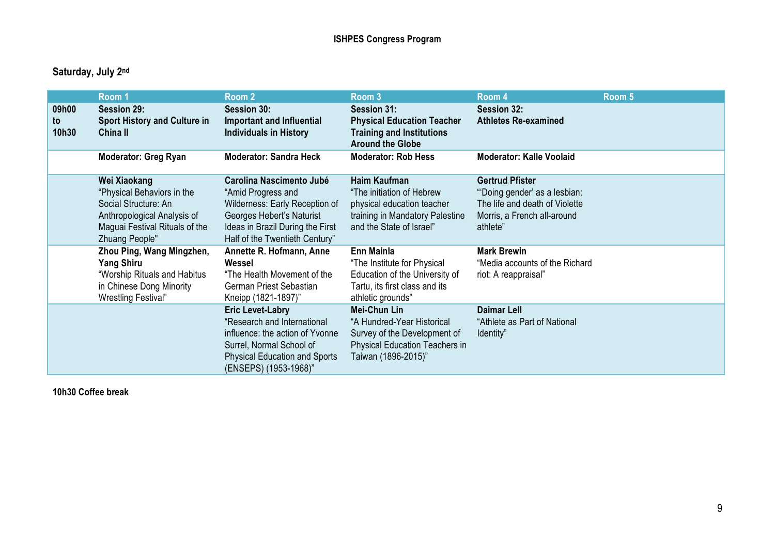# **Saturday, July 2nd**

|             | Room 1                                                                                                                                                | Room 2                                                                                                                                                                                 | Room 3                                                                                                                                     | Room 4                                                                                                                              | Room 5 |
|-------------|-------------------------------------------------------------------------------------------------------------------------------------------------------|----------------------------------------------------------------------------------------------------------------------------------------------------------------------------------------|--------------------------------------------------------------------------------------------------------------------------------------------|-------------------------------------------------------------------------------------------------------------------------------------|--------|
| 09h00<br>to | <b>Session 29:</b><br><b>Sport History and Culture in</b>                                                                                             | <b>Session 30:</b><br>Important and Influential                                                                                                                                        | Session 31:<br><b>Physical Education Teacher</b>                                                                                           | <b>Session 32:</b><br><b>Athletes Re-examined</b>                                                                                   |        |
| 10h30       | China II                                                                                                                                              | <b>Individuals in History</b>                                                                                                                                                          | <b>Training and Institutions</b><br><b>Around the Globe</b>                                                                                |                                                                                                                                     |        |
|             | <b>Moderator: Greg Ryan</b>                                                                                                                           | <b>Moderator: Sandra Heck</b>                                                                                                                                                          | <b>Moderator: Rob Hess</b>                                                                                                                 | <b>Moderator: Kalle Voolaid</b>                                                                                                     |        |
|             | Wei Xiaokang<br>"Physical Behaviors in the<br>Social Structure: An<br>Anthropological Analysis of<br>Maguai Festival Rituals of the<br>Zhuang People" | Carolina Nascimento Jubé<br>"Amid Progress and<br>Wilderness: Early Reception of<br>Georges Hebert's Naturist<br>Ideas in Brazil During the First<br>Half of the Twentieth Century"    | Haim Kaufman<br>"The initiation of Hebrew<br>physical education teacher<br>training in Mandatory Palestine<br>and the State of Israel"     | <b>Gertrud Pfister</b><br>"Doing gender' as a lesbian:<br>The life and death of Violette<br>Morris, a French all-around<br>athlete" |        |
|             | Zhou Ping, Wang Mingzhen,<br><b>Yang Shiru</b><br>"Worship Rituals and Habitus<br>in Chinese Dong Minority<br>Wrestling Festival"                     | Annette R. Hofmann, Anne<br>Wessel<br>"The Health Movement of the<br>German Priest Sebastian<br>Kneipp (1821-1897)"                                                                    | Enn Mainla<br>"The Institute for Physical<br>Education of the University of<br>Tartu, its first class and its<br>athletic grounds"         | <b>Mark Brewin</b><br>"Media accounts of the Richard<br>riot: A reappraisal"                                                        |        |
|             |                                                                                                                                                       | <b>Eric Levet-Labry</b><br>"Research and International<br>influence: the action of Yvonne<br>Surrel, Normal School of<br><b>Physical Education and Sports</b><br>(ENSEPS) (1953-1968)" | Mei-Chun Lin<br>"A Hundred-Year Historical<br>Survey of the Development of<br><b>Physical Education Teachers in</b><br>Taiwan (1896-2015)" | <b>Daimar Lell</b><br>"Athlete as Part of National<br>ldentity"                                                                     |        |

**10h30 Coffee break**